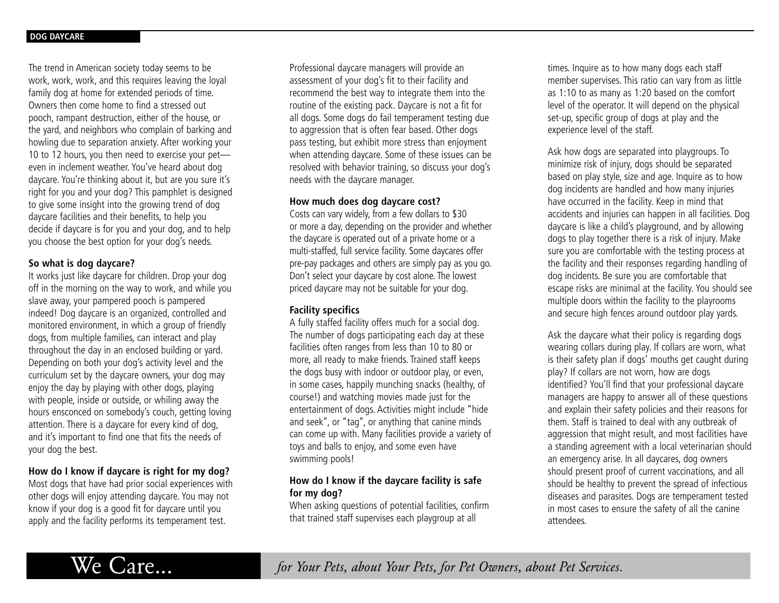The trend in American society today seems to be work, work, work, and this requires leaving the loyal family dog at home for extended periods of time. Owners then come home to find a stressed out pooch, rampant destruction, either of the house, or the yard, and neighbors who complain of barking and howling due to separation anxiety. After working your 10 to 12 hours, you then need to exercise your pet even in inclement weather. You've heard about dog daycare. You're thinking about it, but are you sure it's right for you and your dog? This pamphlet is designed to give some insight into the growing trend of dog daycare facilities and their benefits, to help you decide if daycare is for you and your dog, and to help you choose the best option for your dog's needs.

#### **So what is dog daycare?**

It works just like daycare for children. Drop your dog off in the morning on the way to work, and while you slave away, your pampered pooch is pampered indeed! Dog daycare is an organized, controlled and monitored environment, in which a group of friendly dogs, from multiple families, can interact and play throughout the day in an enclosed building or yard. Depending on both your dog's activity level and the curriculum set by the daycare owners, your dog may enjoy the day by playing with other dogs, playing with people, inside or outside, or whiling away the hours ensconced on somebody's couch, getting loving attention. There is a daycare for every kind of dog, and it's important to find one that fits the needs of your dog the best.

# **How do I know if daycare is right for my dog?**

Most dogs that have had prior social experiences with other dogs will enjoy attending daycare. You may not know if your dog is a good fit for daycare until you apply and the facility performs its temperament test.

Professional daycare managers will provide an assessment of your dog's fit to their facility and recommend the best way to integrate them into the routine of the existing pack. Daycare is not a fit for all dogs. Some dogs do fail temperament testing due to aggression that is often fear based. Other dogs pass testing, but exhibit more stress than enjoyment when attending daycare. Some of these issues can be resolved with behavior training, so discuss your dog's needs with the daycare manager.

#### **How much does dog daycare cost?**

Costs can vary widely, from a few dollars to \$30 or more a day, depending on the provider and whether the daycare is operated out of a private home or a multi-staffed, full service facility. Some daycares offer pre-pay packages and others are simply pay as you go. Don't select your daycare by cost alone. The lowest priced daycare may not be suitable for your dog.

# **Facility specifics**

A fully staffed facility offers much for a social dog. The number of dogs participating each day at these facilities often ranges from less than 10 to 80 or more, all ready to make friends. Trained staff keeps the dogs busy with indoor or outdoor play, or even, in some cases, happily munching snacks (healthy, of course!) and watching movies made just for the entertainment of dogs. Activities might include "hide and seek'', or "tag'', or anything that canine minds can come up with. Many facilities provide a variety of toys and balls to enjoy, and some even have swimming pools!

### **How do I know if the daycare facility is safe for my dog?**

When asking questions of potential facilities, confirm that trained staff supervises each playgroup at all

times. Inquire as to how many dogs each staff member supervises. This ratio can vary from as little as 1:10 to as many as 1:20 based on the comfort level of the operator. It will depend on the physical set-up, specific group of dogs at play and the experience level of the staff.

Ask how dogs are separated into playgroups. To minimize risk of injury, dogs should be separated based on play style, size and age. Inquire as to how dog incidents are handled and how many injuries have occurred in the facility. Keep in mind that accidents and injuries can happen in all facilities. Dog daycare is like a child's playground, and by allowing dogs to play together there is a risk of injury. Make sure you are comfortable with the testing process at the facility and their responses regarding handling of dog incidents. Be sure you are comfortable that escape risks are minimal at the facility. You should see multiple doors within the facility to the playrooms and secure high fences around outdoor play yards.

Ask the daycare what their policy is regarding dogs wearing collars during play. If collars are worn, what is their safety plan if dogs' mouths get caught during play? If collars are not worn, how are dogs identified? You'll find that your professional daycare managers are happy to answer all of these questions and explain their safety policies and their reasons for them. Staff is trained to deal with any outbreak of aggression that might result, and most facilities have a standing agreement with a local veterinarian should an emergency arise. In all daycares, dog owners should present proof of current vaccinations, and all should be healthy to prevent the spread of infectious diseases and parasites. Dogs are temperament tested in most cases to ensure the safety of all the canine attendees.

We Care... *for Your Pets, about Your Pets, for Pet Owners, about Pet Services.*